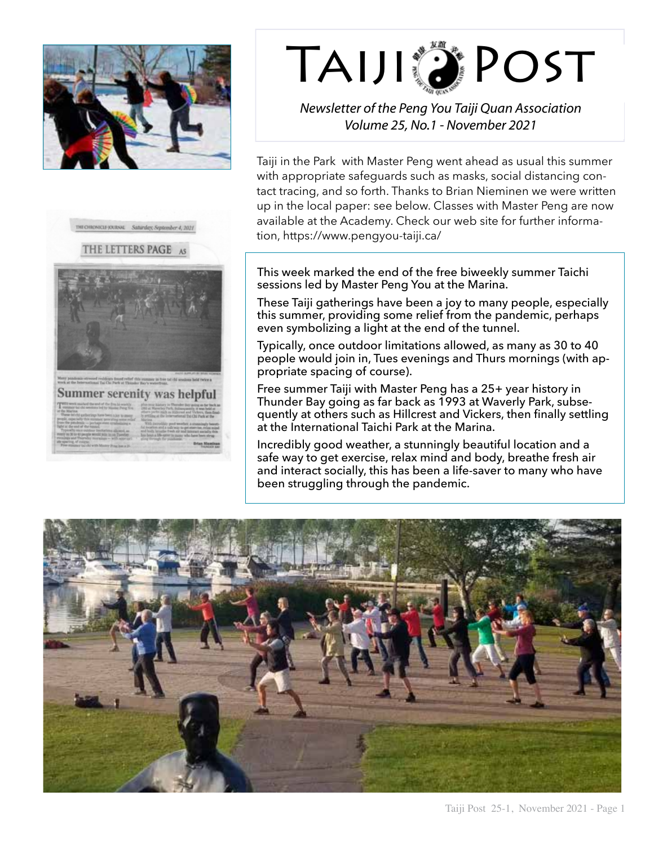



## TAIJI DI POST

*Newsletter of the Peng You Taiji Quan Association Volume 25, No.1 - November 2021*

Taiji in the Park with Master Peng went ahead as usual this summer with appropriate safeguards such as masks, social distancing contact tracing, and so forth. Thanks to Brian Nieminen we were written up in the local paper: see below. Classes with Master Peng are now available at the Academy. Check our web site for further information, https://www.pengyou-taiji.ca/

This week marked the end of the free biweekly summer Taichi sessions led by Master Peng You at the Marina.

These Taiji gatherings have been a joy to many people, especially this summer, providing some relief from the pandemic, perhaps even symbolizing a light at the end of the tunnel.

Typically, once outdoor limitations allowed, as many as 30 to 40 people would join in, Tues evenings and Thurs mornings (with appropriate spacing of course).

Free summer Taiji with Master Peng has a 25+ year history in Thunder Bay going as far back as 1993 at Waverly Park, subsequently at others such as Hillcrest and Vickers, then finally settling at the International Taichi Park at the Marina.

Incredibly good weather, a stunningly beautiful location and a safe way to get exercise, relax mind and body, breathe fresh air and interact socially, this has been a life-saver to many who have been struggling through the pandemic.